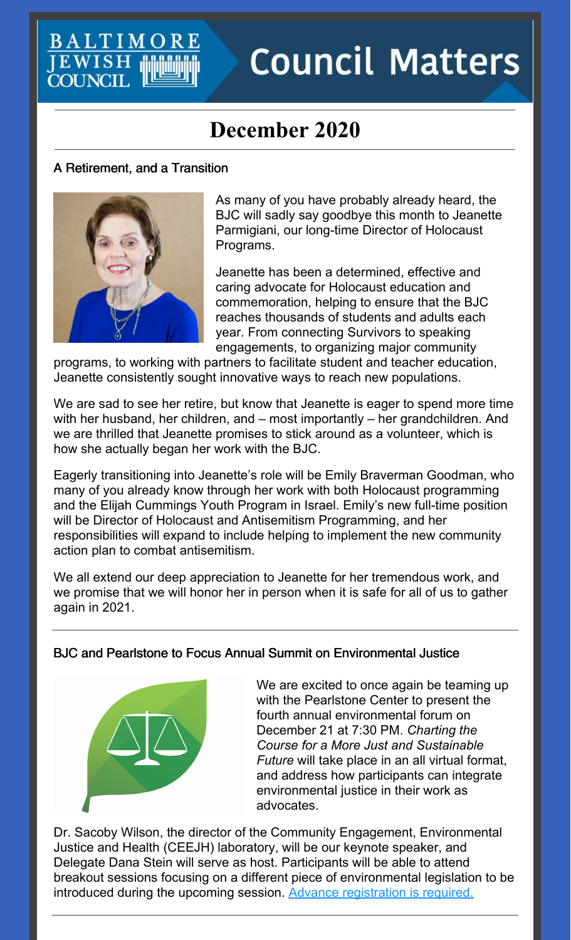# **Council Matters**

# **December 2020**

#### A Retirement, and a Transition

**BALTIM** 

**JEWISH**<br>COUNCIL



As many of you have probably already heard, the BJC will sadly say goodbye this month to Jeanette Parmigiani, our long-time Director of Holocaust Programs.

Jeanette has been a determined, effective and caring advocate for Holocaust education and commemoration, helping to ensure that the BJC reaches thousands of students and adults each year. From connecting Survivors to speaking engagements, to organizing major community

programs, to working with partners to facilitate student and teacher education, Jeanette consistently sought innovative ways to reach new populations.

We are sad to see her retire, but know that Jeanette is eager to spend more time with her husband, her children, and – most importantly – her grandchildren. And we are thrilled that Jeanette promises to stick around as a volunteer, which is how she actually began her work with the BJC.

Eagerly transitioning into Jeanette's role will be Emily Braverman Goodman, who many of you already know through her work with both Holocaust programming and the Elijah Cummings Youth Program in Israel. Emily's new full-time position will be Director of Holocaust and Antisemitism Programming, and her responsibilities will expand to include helping to implement the new community action plan to combat antisemitism.

We all extend our deep appreciation to Jeanette for her tremendous work, and we promise that we will honor her in person when it is safe for all of us to gather again in 2021.

#### BJC and Pearlstone to Focus Annual Summit on Environmental Justice



We are excited to once again be teaming up with the Pearlstone Center to present the fourth annual environmental forum on December 21 at 7:30 PM. *Charting the Course for a More Just and Sustainable Future* will take place in an all virtual format, and address how participants can integrate environmental justice in their work as advocates.

Dr. Sacoby Wilson, the director of the Community Engagement, Environmental Justice and Health (CEEJH) laboratory, will be our keynote speaker, and Delegate Dana Stein will serve as host. Participants will be able to attend breakout sessions focusing on a different piece of environmental legislation to be introduced during the upcoming session. Advance [registration](https://jcfb.zoom.us/meeting/register/tJUkcOCgqTgsH90FPFJTsVwkDgFiqE0vBr9j) is required.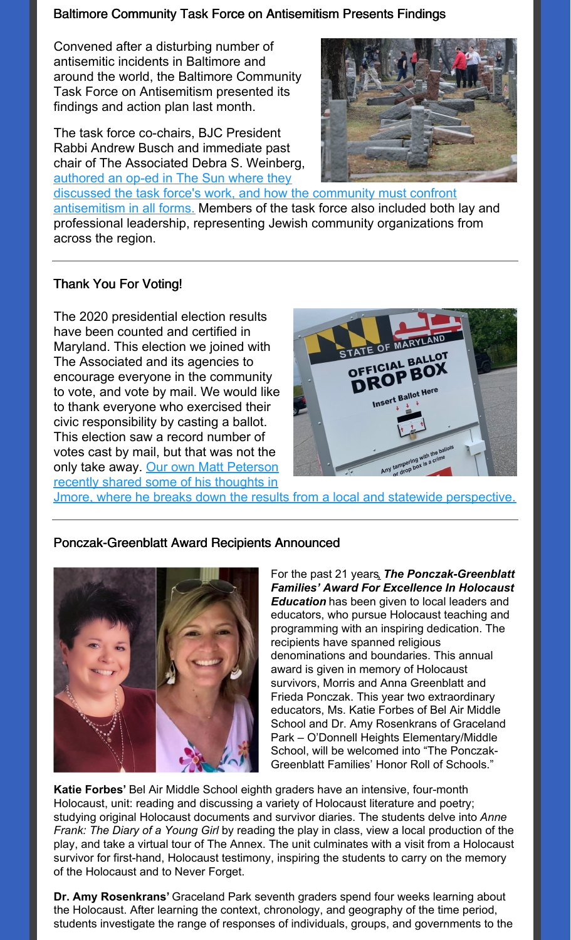#### Baltimore Community Task Force on Antisemitism Presents Findings

Convened after a disturbing number of antisemitic incidents in Baltimore and around the world, the Baltimore Community Task Force on Antisemitism presented its findings and action plan last month.

The task force co-chairs, BJC President Rabbi Andrew Busch and immediate past chair of The Associated Debra S. Weinberg, authored an op-ed in The Sun where they



discussed the task force's work, and how the community must confront [antisemitism](https://www.baltimoresun.com/opinion/op-ed/bs-ed-op-1122-antisemitism-task-force-20201120-rdew3vhhjzbf3pntq4aknyshpa-story.html) in all forms. Members of the task force also included both lay and professional leadership, representing Jewish community organizations from across the region.

#### Thank You For Voting!

The 2020 presidential election results have been counted and certified in Maryland. This election we joined with The Associated and its agencies to encourage everyone in the community to vote, and vote by mail. We would like to thank everyone who exercised their civic responsibility by casting a ballot. This election saw a record number of votes cast by mail, but that was not the only take away. Our own Matt Peterson recently shared some of his thoughts in



Jmore, where he breaks down the results from a local and statewide [perspective.](https://www.jmoreliving.com/2020/11/16/takeaways-from-this-years-elections-from-a-stateside-and-local-perspective/)

#### Ponczak-Greenblatt Award Recipients Announced



For the past 21 years, *The Ponczak-Greenblatt Families' Award For Excellence In Holocaust Education* has been given to local leaders and educators, who pursue Holocaust teaching and programming with an inspiring dedication. The recipients have spanned religious denominations and boundaries. This annual award is given in memory of Holocaust survivors, Morris and Anna Greenblatt and Frieda Ponczak. This year two extraordinary educators, Ms. Katie Forbes of Bel Air Middle School and Dr. Amy Rosenkrans of Graceland Park – O'Donnell Heights Elementary/Middle School, will be welcomed into "The Ponczak-Greenblatt Families' Honor Roll of Schools."

**Katie Forbes'** Bel Air Middle School eighth graders have an intensive, four-month Holocaust, unit: reading and discussing a variety of Holocaust literature and poetry; studying original Holocaust documents and survivor diaries. The students delve into *Anne Frank: The Diary of a Young Girl* by reading the play in class, view a local production of the play, and take a virtual tour of The Annex. The unit culminates with a visit from a Holocaust survivor for first-hand, Holocaust testimony, inspiring the students to carry on the memory of the Holocaust and to Never Forget.

**Dr. Amy Rosenkrans'** Graceland Park seventh graders spend four weeks learning about the Holocaust. After learning the context, chronology, and geography of the time period, students investigate the range of responses of individuals, groups, and governments to the